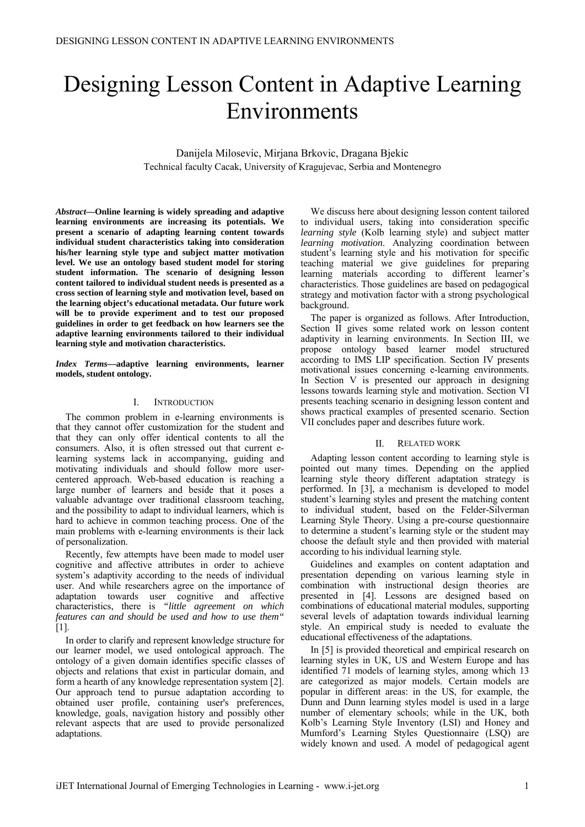# Designing Lesson Content in Adaptive Learning Environments

Danijela Milosevic, Mirjana Brkovic, Dragana Bjekic Technical faculty Cacak, University of Kragujevac, Serbia and Montenegro

*Abstract***—Online learning is widely spreading and adaptive learning environments are increasing its potentials. We present a scenario of adapting learning content towards individual student characteristics taking into consideration his/her learning style type and subject matter motivation level. We use an ontology based student model for storing student information. The scenario of designing lesson content tailored to individual student needs is presented as a cross section of learning style and motivation level, based on the learning object's educational metadata. Our future work will be to provide experiment and to test our proposed guidelines in order to get feedback on how learners see the adaptive learning environments tailored to their individual learning style and motivation characteristics.** 

*Index Terms***—adaptive learning environments, learner models, student ontology.** 

## I. INTRODUCTION

The common problem in e-learning environments is that they cannot offer customization for the student and that they can only offer identical contents to all the consumers. Also, it is often stressed out that current elearning systems lack in accompanying, guiding and motivating individuals and should follow more usercentered approach. Web-based education is reaching a large number of learners and beside that it poses a valuable advantage over traditional classroom teaching, and the possibility to adapt to individual learners, which is hard to achieve in common teaching process. One of the main problems with e-learning environments is their lack of personalization.

Recently, few attempts have been made to model user cognitive and affective attributes in order to achieve system's adaptivity according to the needs of individual user. And while researchers agree on the importance of adaptation towards user cognitive and affective characteristics, there is *"little agreement on which features can and should be used and how to use them"* [1].

In order to clarify and represent knowledge structure for our learner model, we used ontological approach. The ontology of a given domain identifies specific classes of objects and relations that exist in particular domain, and form a hearth of any knowledge representation system [2]. Our approach tend to pursue adaptation according to obtained user profile, containing user's preferences, knowledge, goals, navigation history and possibly other relevant aspects that are used to provide personalized adaptations.

We discuss here about designing lesson content tailored to individual users, taking into consideration specific *learning style* (Kolb learning style) and subject matter *learning motivation*. Analyzing coordination between student's learning style and his motivation for specific teaching material we give guidelines for preparing learning materials according to different learner's characteristics. Those guidelines are based on pedagogical strategy and motivation factor with a strong psychological background.

The paper is organized as follows. After Introduction, Section II gives some related work on lesson content adaptivity in learning environments. In Section III, we propose ontology based learner model structured according to IMS LIP specification. Section IV presents motivational issues concerning e-learning environments. In Section V is presented our approach in designing lessons towards learning style and motivation. Section VI presents teaching scenario in designing lesson content and shows practical examples of presented scenario. Section VII concludes paper and describes future work.

#### II. RELATED WORK

Adapting lesson content according to learning style is pointed out many times. Depending on the applied learning style theory different adaptation strategy is performed. In [3], a mechanism is developed to model student's learning styles and present the matching content to individual student, based on the Felder-Silverman Learning Style Theory. Using a pre-course questionnaire to determine a student's learning style or the student may choose the default style and then provided with material according to his individual learning style.

Guidelines and examples on content adaptation and presentation depending on various learning style in combination with instructional design theories are presented in [4]. Lessons are designed based on combinations of educational material modules, supporting several levels of adaptation towards individual learning style. An empirical study is needed to evaluate the educational effectiveness of the adaptations.

In [5] is provided theoretical and empirical research on learning styles in UK, US and Western Europe and has identified 71 models of learning styles, among which 13 are categorized as major models. Certain models are popular in different areas: in the US, for example, the Dunn and Dunn learning styles model is used in a large number of elementary schools; while in the UK, both Kolb's Learning Style Inventory (LSI) and Honey and Mumford's Learning Styles Questionnaire (LSQ) are widely known and used. A model of pedagogical agent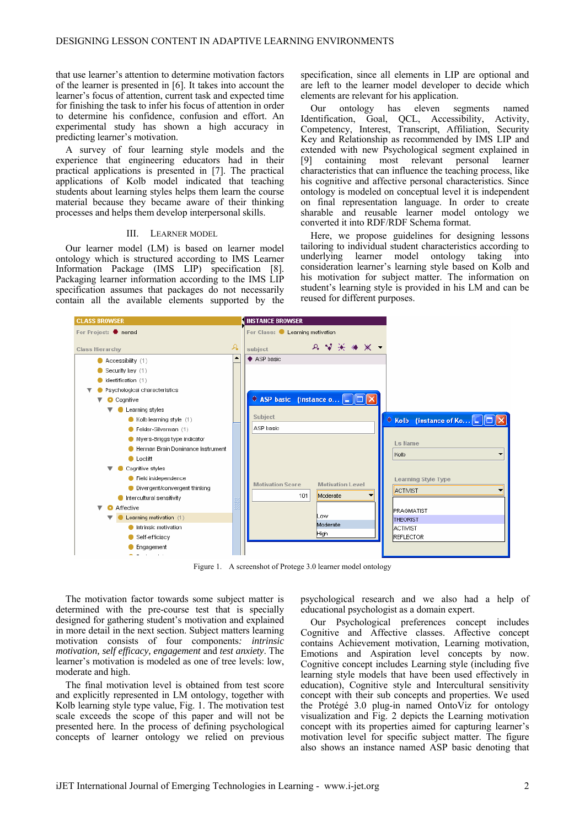that use learner's attention to determine motivation factors of the learner is presented in [6]. It takes into account the learner's focus of attention, current task and expected time for finishing the task to infer his focus of attention in order to determine his confidence, confusion and effort. An experimental study has shown a high accuracy in predicting learner's motivation.

A survey of four learning style models and the experience that engineering educators had in their practical applications is presented in [7]. The practical applications of Kolb model indicated that teaching students about learning styles helps them learn the course material because they became aware of their thinking processes and helps them develop interpersonal skills.

#### III. LEARNER MODEL

Our learner model (LM) is based on learner model ontology which is structured according to IMS Learner Information Package (IMS LIP) specification [8]. Packaging learner information according to the IMS LIP specification assumes that packages do not necessarily contain all the available elements supported by the specification, since all elements in LIP are optional and are left to the learner model developer to decide which elements are relevant for his application.

Our ontology has eleven segments named Identification, Goal, QCL, Accessibility, Activity, Competency, Interest, Transcript, Affiliation, Security Key and Relationship as recommended by IMS LIP and extended with new Psychological segment explained in [9] containing most relevant personal learner containing most relevant personal learner characteristics that can influence the teaching process, like his cognitive and affective personal characteristics. Since ontology is modeled on conceptual level it is independent on final representation language. In order to create sharable and reusable learner model ontology we converted it into RDF/RDF Schema format.

Here, we propose guidelines for designing lessons tailoring to individual student characteristics according to underlying learner model ontology taking into consideration learner's learning style based on Kolb and his motivation for subject matter. The information on student's learning style is provided in his LM and can be reused for different purposes.



Figure 1. A screenshot of Protege 3.0 learner model ontology

The motivation factor towards some subject matter is determined with the pre-course test that is specially designed for gathering student's motivation and explained in more detail in the next section. Subject matters learning motivation consists of four components*: intrinsic motivation, self efficacy, engagement* and *test anxiety*. The learner's motivation is modeled as one of tree levels: low, moderate and high.

The final motivation level is obtained from test score and explicitly represented in LM ontology, together with Kolb learning style type value, Fig. 1. The motivation test scale exceeds the scope of this paper and will not be presented here. In the process of defining psychological concepts of learner ontology we relied on previous psychological research and we also had a help of educational psychologist as a domain expert.

Our Psychological preferences concept includes Cognitive and Affective classes. Affective concept contains Achievement motivation, Learning motivation, Emotions and Aspiration level concepts by now. Cognitive concept includes Learning style (including five learning style models that have been used effectively in education), Cognitive style and Intercultural sensitivity concept with their sub concepts and properties. We used the Protégé 3.0 plug-in named OntoViz for ontology visualization and Fig. 2 depicts the Learning motivation concept with its properties aimed for capturing learner's motivation level for specific subject matter. The figure also shows an instance named ASP basic denoting that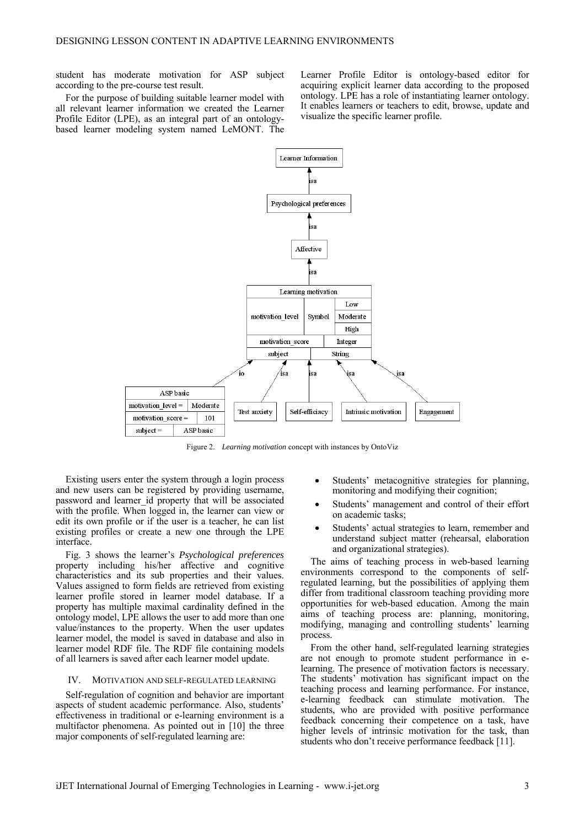student has moderate motivation for ASP subject according to the pre-course test result.

For the purpose of building suitable learner model with all relevant learner information we created the Learner Profile Editor (LPE), as an integral part of an ontologybased learner modeling system named LeMONT. The Learner Profile Editor is ontology-based editor for acquiring explicit learner data according to the proposed ontology. LPE has a role of instantiating learner ontology. It enables learners or teachers to edit, browse, update and visualize the specific learner profile.



Figure 2. *Learning motivation* concept with instances by OntoViz

Existing users enter the system through a login process and new users can be registered by providing username, password and learner id property that will be associated with the profile. When logged in, the learner can view or edit its own profile or if the user is a teacher, he can list existing profiles or create a new one through the LPE interface.

Fig. 3 shows the learner's *Psychological preferences* property including his/her affective and cognitive characteristics and its sub properties and their values. Values assigned to form fields are retrieved from existing learner profile stored in learner model database. If a property has multiple maximal cardinality defined in the ontology model, LPE allows the user to add more than one value/instances to the property. When the user updates learner model, the model is saved in database and also in learner model RDF file. The RDF file containing models of all learners is saved after each learner model update.

# IV. MOTIVATION AND SELF-REGULATED LEARNING

Self-regulation of cognition and behavior are important aspects of student academic performance. Also, students' effectiveness in traditional or e-learning environment is a multifactor phenomena. As pointed out in [10] the three major components of self-regulated learning are:

- Students' metacognitive strategies for planning, monitoring and modifying their cognition;
- Students' management and control of their effort on academic tasks;
- Students' actual strategies to learn, remember and understand subject matter (rehearsal, elaboration and organizational strategies).

The aims of teaching process in web-based learning environments correspond to the components of selfregulated learning, but the possibilities of applying them differ from traditional classroom teaching providing more opportunities for web-based education. Among the main aims of teaching process are: planning, monitoring, modifying, managing and controlling students' learning process.

From the other hand, self-regulated learning strategies are not enough to promote student performance in elearning. The presence of motivation factors is necessary. The students' motivation has significant impact on the teaching process and learning performance. For instance, e-learning feedback can stimulate motivation. The students, who are provided with positive performance feedback concerning their competence on a task, have higher levels of intrinsic motivation for the task, than students who don't receive performance feedback [11].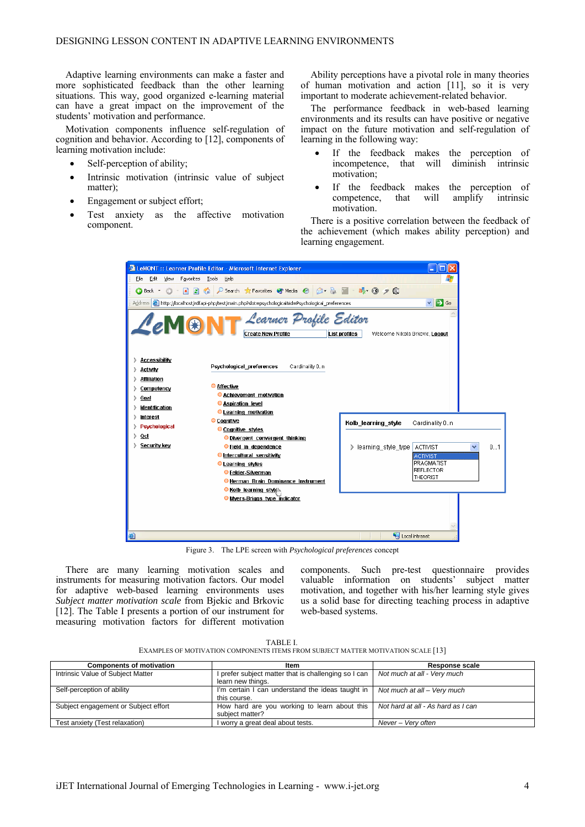Adaptive learning environments can make a faster and more sophisticated feedback than the other learning situations. This way, good organized e-learning material can have a great impact on the improvement of the students' motivation and performance.

Motivation components influence self-regulation of cognition and behavior. According to [12], components of learning motivation include:

- Self-perception of ability;
- Intrinsic motivation (intrinsic value of subject matter);
- Engagement or subject effort:
- Test anxiety as the affective motivation component.

Ability perceptions have a pivotal role in many theories of human motivation and action [11], so it is very important to moderate achievement-related behavior.

The performance feedback in web-based learning environments and its results can have positive or negative impact on the future motivation and self-regulation of learning in the following way:

- If the feedback makes the perception of incompetence, that will diminish intrinsic motivation;
- If the feedback makes the perception of competence, that will amplify intrinsic motivation.

There is a positive correlation between the feedback of the achievement (which makes ability perception) and learning engagement.



Figure 3. The LPE screen with *Psychological preferences* concept

There are many learning motivation scales and instruments for measuring motivation factors. Our model for adaptive web-based learning environments uses *Subject matter motivation scale* from Bjekic and Brkovic [12]. The Table I presents a portion of our instrument for measuring motivation factors for different motivation components. Such pre-test questionnaire provides valuable information on students' subject matter motivation, and together with his/her learning style gives us a solid base for directing teaching process in adaptive web-based systems.

| EXAMPLES OF MOTIVATION COMPONENTS ITEMS FROM SUBJECT MATTER MOTIVATION SCALE [13] |
|-----------------------------------------------------------------------------------|
|                                                                                   |

TABLE I.

| <b>Components of motivation</b>      | ltem                                                 | Response scale                     |
|--------------------------------------|------------------------------------------------------|------------------------------------|
| Intrinsic Value of Subject Matter    | I prefer subject matter that is challenging so I can | Not much at all - Very much        |
|                                      | learn new things.                                    |                                    |
| Self-perception of ability           | I'm certain I can understand the ideas taught in     | Not much at all - Very much        |
|                                      | this course.                                         |                                    |
| Subject engagement or Subject effort | How hard are you working to learn about this         | Not hard at all - As hard as I can |
|                                      | subject matter?                                      |                                    |
| Test anxiety (Test relaxation)       | worry a great deal about tests.                      | Never - Very often                 |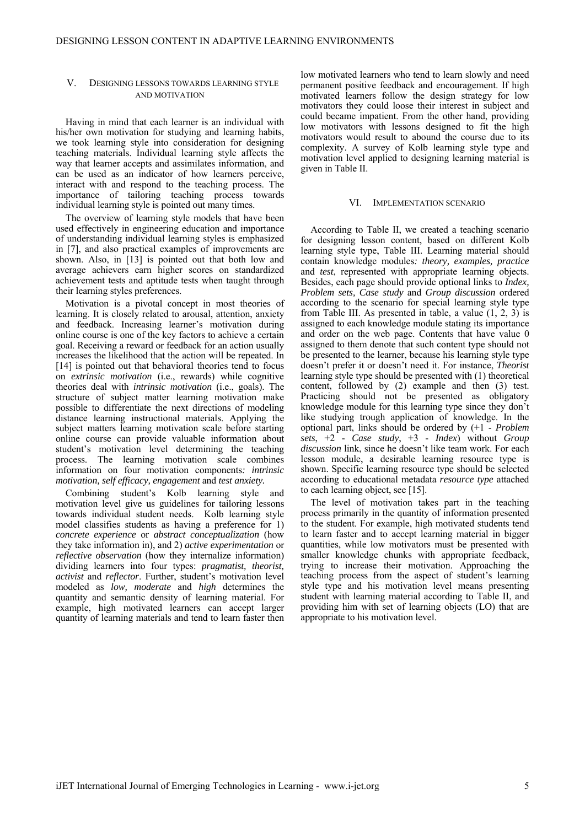# V. DESIGNING LESSONS TOWARDS LEARNING STYLE AND MOTIVATION

Having in mind that each learner is an individual with his/her own motivation for studying and learning habits, we took learning style into consideration for designing teaching materials. Individual learning style affects the way that learner accepts and assimilates information, and can be used as an indicator of how learners perceive, interact with and respond to the teaching process. The importance of tailoring teaching process towards individual learning style is pointed out many times.

The overview of learning style models that have been used effectively in engineering education and importance of understanding individual learning styles is emphasized in [7], and also practical examples of improvements are shown. Also, in [13] is pointed out that both low and average achievers earn higher scores on standardized achievement tests and aptitude tests when taught through their learning styles preferences.

Motivation is a pivotal concept in most theories of learning. It is closely related to arousal, attention, anxiety and feedback. Increasing learner's motivation during online course is one of the key factors to achieve a certain goal. Receiving a reward or feedback for an action usually increases the likelihood that the action will be repeated. In [14] is pointed out that behavioral theories tend to focus on *extrinsic motivation* (i.e., rewards) while cognitive theories deal with *intrinsic motivation* (i.e., goals). The structure of subject matter learning motivation make possible to differentiate the next directions of modeling distance learning instructional materials. Applying the subject matters learning motivation scale before starting online course can provide valuable information about student's motivation level determining the teaching process. The learning motivation scale combines information on four motivation components*: intrinsic motivation, self efficacy, engagement* and *test anxiety.*

Combining student's Kolb learning style and motivation level give us guidelines for tailoring lessons towards individual student needs. Kolb learning style model classifies students as having a preference for 1) *concrete experience* or *abstract conceptualization* (how they take information in), and 2) *active experimentation* or *reflective observation* (how they internalize information) dividing learners into four types: *pragmatist, theorist, activist* and *reflector*. Further, student's motivation level modeled as *low, moderate* and *high* determines the quantity and semantic density of learning material. For example, high motivated learners can accept larger quantity of learning materials and tend to learn faster then low motivated learners who tend to learn slowly and need permanent positive feedback and encouragement. If high motivated learners follow the design strategy for low motivators they could loose their interest in subject and could became impatient. From the other hand, providing low motivators with lessons designed to fit the high motivators would result to abound the course due to its complexity. A survey of Kolb learning style type and motivation level applied to designing learning material is given in Table II.

#### VI. IMPLEMENTATION SCENARIO

According to Table II, we created a teaching scenario for designing lesson content, based on different Kolb learning style type, Table III. Learning material should contain knowledge modules*: theory, examples, practice* and *test*, represented with appropriate learning objects. Besides, each page should provide optional links to *Index, Problem sets, Case study* and *Group discussion* ordered according to the scenario for special learning style type from Table III. As presented in table, a value (1, 2, 3) is assigned to each knowledge module stating its importance and order on the web page. Contents that have value 0 assigned to them denote that such content type should not be presented to the learner, because his learning style type doesn't prefer it or doesn't need it. For instance, *Theorist* learning style type should be presented with (1) theoretical content, followed by (2) example and then (3) test. Practicing should not be presented as obligatory knowledge module for this learning type since they don't like studying trough application of knowledge. In the optional part, links should be ordered by (+1 - *Problem sets*, +2 - *Case study*, +3 - *Index*) without *Group discussion* link, since he doesn't like team work. For each lesson module, a desirable learning resource type is shown. Specific learning resource type should be selected according to educational metadata *resource type* attached to each learning object, see [15].

The level of motivation takes part in the teaching process primarily in the quantity of information presented to the student. For example, high motivated students tend to learn faster and to accept learning material in bigger quantities, while low motivators must be presented with smaller knowledge chunks with appropriate feedback, trying to increase their motivation. Approaching the teaching process from the aspect of student's learning style type and his motivation level means presenting student with learning material according to Table II, and providing him with set of learning objects (LO) that are appropriate to his motivation level.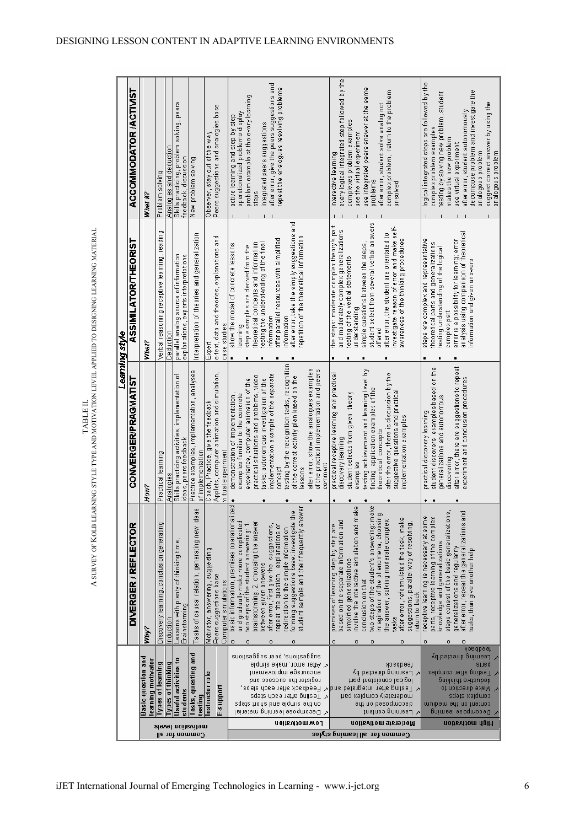|                |                             | Why?<br>Basic question and<br>learning motivator | Types of learning                            | Induction<br>Types of thinking | Brainstorming<br>Useful activities to<br>students                              | Tasks, questing and<br>testing                                   | Computer simulations<br><b>Instructor role</b><br><b>E-support</b>                                     | tasks<br>$\circ$<br>o<br>$\circ$<br>o<br>$\circ$<br>о<br>ö<br>$\circ$<br>$\circ$<br>o<br>o<br>урвареет<br>suoitsebbns leed 'suoitsebbns<br>Learning directed by<br>v After error, make simple<br>feedback<br>stied<br>encourage improvement<br>Yd betoenib gninnsel ><br>Testing after complex<br>haq inetaianoo labigol<br>дөдийн өмнөр<br>reĝistr the auccess aug<br>v Testing after integrated and √ Feedback after each steps,<br>of noifbanib exisM<br>Testing after each steps<br>moderately complex part<br>cowbjex sela<br>aqəta tıorla bir əlqmia ərlt no<br>əyi uo pəsodwobəp<br>content on the medium<br>/ Decompose learning material<br>) Decomposel learning<br>v Learning content                                                                                                                                                                                                                                                                                                                                                                                                                                                                              |
|----------------|-----------------------------|--------------------------------------------------|----------------------------------------------|--------------------------------|--------------------------------------------------------------------------------|------------------------------------------------------------------|--------------------------------------------------------------------------------------------------------|-------------------------------------------------------------------------------------------------------------------------------------------------------------------------------------------------------------------------------------------------------------------------------------------------------------------------------------------------------------------------------------------------------------------------------------------------------------------------------------------------------------------------------------------------------------------------------------------------------------------------------------------------------------------------------------------------------------------------------------------------------------------------------------------------------------------------------------------------------------------------------------------------------------------------------------------------------------------------------------------------------------------------------------------------------------------------------------------------------------------------------------------------------------------------------|
|                | <b>DIVERGER / REFLECTOR</b> |                                                  | Discovery learning, conclusion generating    |                                | Lessons with plenty of thinking time                                           | es.<br>Tasks of causal relation, generating new ide              | Motivator, answering, suggesting<br>Peers suggestions base                                             | ized<br>student sample and their frequently answer<br>two steps of the student's answering: make<br>involve the interactive simulation and make<br>ğ<br>forming suggestions base: investigate the<br>혼<br>$\qquad \qquad \varpi$<br>receptive learning is necessary at some<br>parts, receptive learning of the complex<br>steps consist of the basic generalization<br>imagination of the phenomena, choosin;<br>the answer, solving moderate complex<br>after error, reformulated the task, make<br>after error, repeat the generalizations ai<br>basic information, premises operationa<br>based on the separate information and<br>and gradually make more complicated<br>brainstorming, 2. choosing the answer<br>suggestions, parallel way of resolving,<br>return to back<br>repeat the question, explanations or<br>premises of learning step by step are<br>after error, first give the suggestions<br>redirection to the simple information<br>two steps of the student answering:<br>knowledge and generalizations<br>generalizations and regularity<br>tasks, than give another help<br>simplified generalizations<br>between given answers<br>conclusion on that |
|                | <b>CONVERGER/PRAGMATIST</b> | How?                                             | Practical learning                           | Analogies                      | Skills practicing activities, implementation of<br>ideas, peers feedback       | Practice examples, implementation, analyses<br>of implementation | Applets, computer animation and simulation,<br>Coach, Practice, give the feedback<br>virtualexperiment | testing by the recognition tasks, recognition<br>after error, there are suggestions to repeat<br>student discovers examples based on the<br>after error, show the analogues examples<br>testing achievement and learning level by<br>of the practical implementation and peers<br>after the error, there is discussion by the<br>implementation example of the separate<br>practical receptive learning and practical<br>discovery learning<br>practical situations and problems, video<br>of the correct activity plan based on the<br>experiment and conclusion procedures<br>experience, computer animation of the<br>tasks: autonomous investigation of the<br>finding application examples of the<br>suggestive questions and practical<br>student selects from given theory<br>demonstration of implementation,<br>examples familiar to the concrete<br>generalizations and autonomous<br>practical discovery learning<br>implementation examples<br>theoretical concepts<br>discovering<br>examples<br>comment<br>lessons<br>concept                                                                                                                                   |
| Learning style | ASSIMILATOR/THEORIST        | What?                                            | Verbal reasoning receptive learning, reading | Deduction                      | parallel analog source of information<br>explanations, experts interpretations | Interpretation of theories and generalization                    | e-text, data and theories, explanations and<br>case studies<br>Expert                                  | after error, take the simply suggestions and<br>student select from several verbal answers<br>the steps: moderate complex theory's part<br>investigate reason of error and make self-<br>and moderately complex generalizations<br>error is a possibility for learning; error<br>analysis using comparison of theoretical<br>after error, the student are orientated to<br>repetition of the theoretical information<br>offer parallel resources with simplified<br>awareness of the thinking procedures<br>steps are complex and representative<br>theoretical parts and generalizations<br>testing the understanding of the final<br>simple questions between the steps,<br>theoretical concepts and information<br>show the model of concrete lessons<br>step examples are derived from the<br>testing understanding of the logical<br>testing of the verbal statements<br>information and given answers<br>understanding<br>complexpart<br>information<br>information<br>learning<br>offered<br>٠<br>٠                                                                                                                                                                    |
|                | ACCOMMODATOR/ACTIVIST       | What if?                                         | Problem solving                              | Analogies and deduction        | Skills practicing, problem solving, peers<br>feedback, discussion              | New problem solving                                              | Observer, stay out of the way<br>Peers suggestions and analogies base                                  | every logical integrated step followed by the<br>logical integrated steps are followed by the<br>after error, give the peers suggestions and<br>repeat the analogues resolving problems<br>use integrated peers answer at the same<br>complex problem, return to the problem<br>unsolved<br>decompose problem and investigate the<br>testing by solving new problem, student<br>problem example at the every learning<br>suggest correct answer by using the<br>after error, student solve analog not<br>after error, student autonomously<br>operationalized problems display<br>active learning and step by step<br>complexes problem examples<br>integrated peers suggestions<br>complex problem examples<br>use the virtual experiment<br>makes the new problem<br>use virtual experiment<br>analogous problem<br>analogous problem<br>interactive learning<br>problems<br>steps                                                                                                                                                                                                                                                                                          |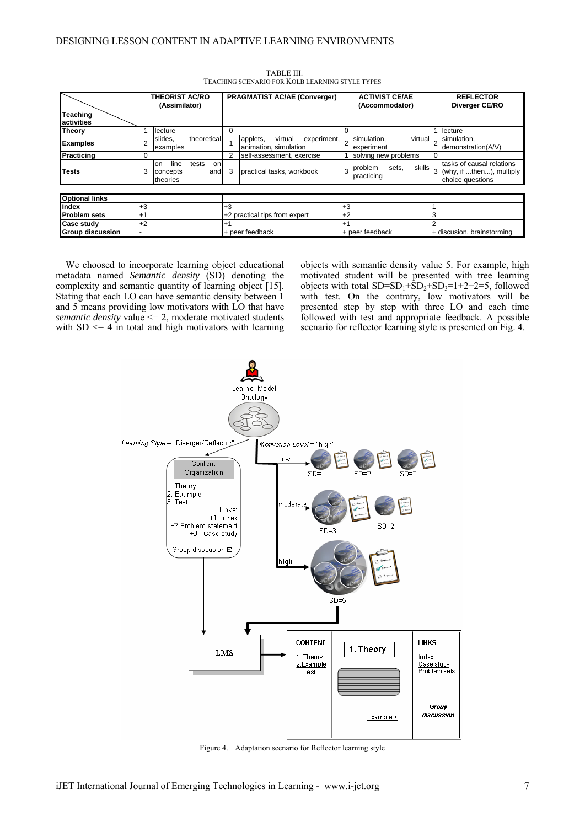#### DESIGNING LESSON CONTENT IN ADAPTIVE LEARNING ENVIRONMENTS

|                               | <b>THEORIST AC/RO</b><br>(Assimilator) |                                     |                    | <b>PRAGMATIST AC/AE (Converger)</b> |                                                             |    | <b>ACTIVIST CE/AE</b><br>(Accommodator)                | <b>REFLECTOR</b><br>Diverger CE/RO |                                                                           |
|-------------------------------|----------------------------------------|-------------------------------------|--------------------|-------------------------------------|-------------------------------------------------------------|----|--------------------------------------------------------|------------------------------------|---------------------------------------------------------------------------|
| <b>Teaching</b><br>activities |                                        |                                     |                    |                                     |                                                             |    |                                                        |                                    |                                                                           |
| <b>Theory</b>                 |                                        | lecture                             |                    | $\Omega$                            |                                                             |    |                                                        |                                    | llecture                                                                  |
| Examples                      | 2                                      | slides,<br>examples                 | theoretical        |                                     | virtual<br>experiment,<br>applets,<br>animation, simulation |    | simulation,<br>virtual $\sqrt{2}$<br>experiment        |                                    | simulation,<br>demonstration(A/V)                                         |
| Practicing                    | 0                                      |                                     |                    | 2                                   | self-assessment, exercise                                   |    | solving new problems                                   | $\Omega$                           |                                                                           |
| <b>Tests</b>                  | 3                                      | line<br>lon<br>concepts<br>theories | tests<br>on<br>and | 3                                   | practical tasks, workbook                                   |    | skills<br>$\frac{1}{3}$ problem<br>sets.<br>practicing |                                    | tasks of causal relations<br>(why, if then), multiply<br>choice questions |
|                               |                                        |                                     |                    |                                     |                                                             |    |                                                        |                                    |                                                                           |
| <b>Optional links</b>         |                                        |                                     |                    |                                     |                                                             |    |                                                        |                                    |                                                                           |
| Index                         | $+3$                                   |                                     |                    | $+3$                                |                                                             | +3 |                                                        |                                    |                                                                           |
| <b>Problem sets</b>           | $+^{\prime}$                           |                                     |                    | +2 practical tips from expert       |                                                             |    | $+2$                                                   | 3                                  |                                                                           |
| <b>Case study</b>             | $+2$                                   |                                     |                    | l+1                                 |                                                             |    |                                                        | c                                  |                                                                           |
| <b>Group discussion</b>       |                                        |                                     |                    | + peer feedback                     |                                                             |    | $+$ peer feedback                                      | + discusion, brainstorming         |                                                                           |

TABLE III. TEACHING SCENARIO FOR KOLB LEARNING STYLE TYPES

We choosed to incorporate learning object educational metadata named *Semantic density* (SD) denoting the complexity and semantic quantity of learning object [15]. Stating that each LO can have semantic density between 1 and 5 means providing low motivators with LO that have *semantic density* value <= 2, moderate motivated students with  $SD \leq 4$  in total and high motivators with learning objects with semantic density value 5. For example, high motivated student will be presented with tree learning objects with total  $SD=SD_1+SD_2+SD_3=1+2+2=5$ , followed with test. On the contrary, low motivators will be presented step by step with three LO and each time followed with test and appropriate feedback. A possible scenario for reflector learning style is presented on Fig. 4.



Figure 4. Adaptation scenario for Reflector learning style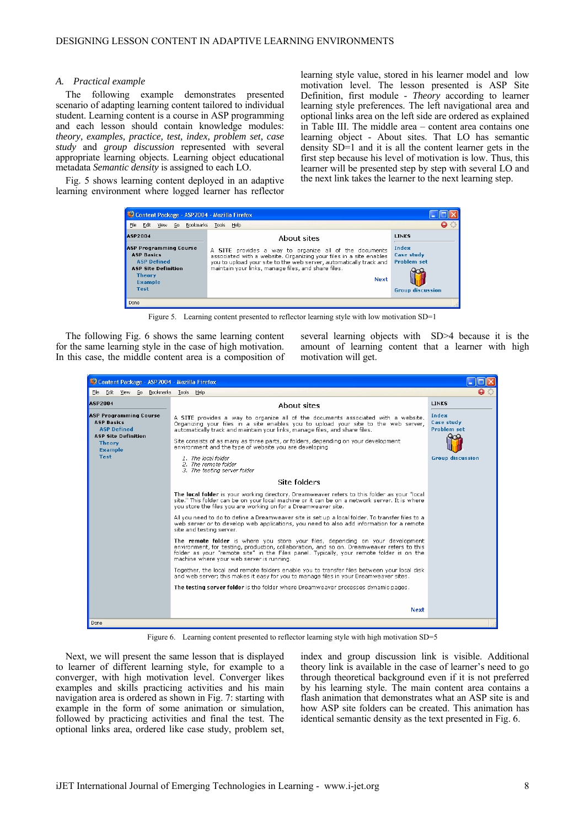# *A. Practical example*

The following example demonstrates presented scenario of adapting learning content tailored to individual student. Learning content is a course in ASP programming and each lesson should contain knowledge modules: *theory, examples, practice, test, index, problem set, case study* and *group discussion* represented with several appropriate learning objects. Learning object educational metadata *Semantic density* is assigned to each LO.

Fig. 5 shows learning content deployed in an adaptive learning environment where logged learner has reflector learning style value, stored in his learner model and low motivation level. The lesson presented is ASP Site Definition, first module - *Theory* according to learner learning style preferences. The left navigational area and optional links area on the left side are ordered as explained in Table III. The middle area – content area contains one learning object - About sites. That LO has semantic density SD=1 and it is all the content learner gets in the first step because his level of motivation is low. Thus, this learner will be presented step by step with several LO and the next link takes the learner to the next learning step.



Figure 5. Learning content presented to reflector learning style with low motivation SD=1

The following Fig. 6 shows the same learning content for the same learning style in the case of high motivation. In this case, the middle content area is a composition of several learning objects with SD>4 because it is the amount of learning content that a learner with high motivation will get.

| Content Package - ASP 2004 - Mozilla Firefox                             |                                                                                                                                                                                                                                                                                                                       |                                                  |  |  |  |  |  |
|--------------------------------------------------------------------------|-----------------------------------------------------------------------------------------------------------------------------------------------------------------------------------------------------------------------------------------------------------------------------------------------------------------------|--------------------------------------------------|--|--|--|--|--|
| File Edit View<br>Go Bookmarks Tools Help                                |                                                                                                                                                                                                                                                                                                                       |                                                  |  |  |  |  |  |
| <b>ASP2004</b>                                                           | About sites                                                                                                                                                                                                                                                                                                           | <b>LINKS</b>                                     |  |  |  |  |  |
| <b>ASP Programming Course</b><br><b>ASP Basics</b><br><b>ASP Defined</b> | A SITE provides a way to organize all of the documents associated with a website.<br>Organizing your files in a site enables you to upload your site to the web server.<br>automatically track and maintain your links, manage files, and share files.                                                                | Index<br><b>Case study</b><br><b>Problem set</b> |  |  |  |  |  |
| <b>ASP Site Definition</b><br><b>Theory</b><br><b>Example</b>            | Site consists of as many as three parts, or folders, depending on your development<br>environment and the type of website you are developing                                                                                                                                                                          |                                                  |  |  |  |  |  |
| <b>Test</b>                                                              | 1. The local folder<br>2. The remote folder<br>3. The testing server folder                                                                                                                                                                                                                                           | <b>Group discussion</b>                          |  |  |  |  |  |
|                                                                          | Site folders                                                                                                                                                                                                                                                                                                          |                                                  |  |  |  |  |  |
|                                                                          | The local folder is your working directory. Dreamweaver refers to this folder as your "local<br>site." This folder can be on your local machine or it can be on a network server. It is where<br>you store the files you are working on for a Dreamweaver site.                                                       |                                                  |  |  |  |  |  |
|                                                                          | All vou need to do to define a Dreamweaver site is set up a local folder. To transfer files to a<br>web server or to develop web applications, you need to also add information for a remote<br>site and testing server.                                                                                              |                                                  |  |  |  |  |  |
|                                                                          | The remote folder is where you store your files, depending on your development<br>environment, for testing, production, collaboration, and so on. Dreamweaver refers to this<br>folder as your "remote site" in the Files panel. Typically, your remote folder is on the<br>machine where your web server is running. |                                                  |  |  |  |  |  |
|                                                                          | Together, the local and remote folders enable you to transfer files between your local disk<br>and web server: this makes it easy for you to manage files in your Dreamweaver sites.                                                                                                                                  |                                                  |  |  |  |  |  |
|                                                                          | The testing server folder is the folder where Dreamweaver processes dynamic pages.                                                                                                                                                                                                                                    |                                                  |  |  |  |  |  |
|                                                                          | <b>Next</b>                                                                                                                                                                                                                                                                                                           |                                                  |  |  |  |  |  |
| Done                                                                     |                                                                                                                                                                                                                                                                                                                       |                                                  |  |  |  |  |  |

Figure 6. Learning content presented to reflector learning style with high motivation SD=5

Next, we will present the same lesson that is displayed to learner of different learning style, for example to a converger, with high motivation level. Converger likes examples and skills practicing activities and his main navigation area is ordered as shown in Fig. 7: starting with example in the form of some animation or simulation, followed by practicing activities and final the test. The optional links area, ordered like case study, problem set, index and group discussion link is visible. Additional theory link is available in the case of learner's need to go through theoretical background even if it is not preferred by his learning style. The main content area contains a flash animation that demonstrates what an ASP site is and how ASP site folders can be created. This animation has identical semantic density as the text presented in Fig. 6.